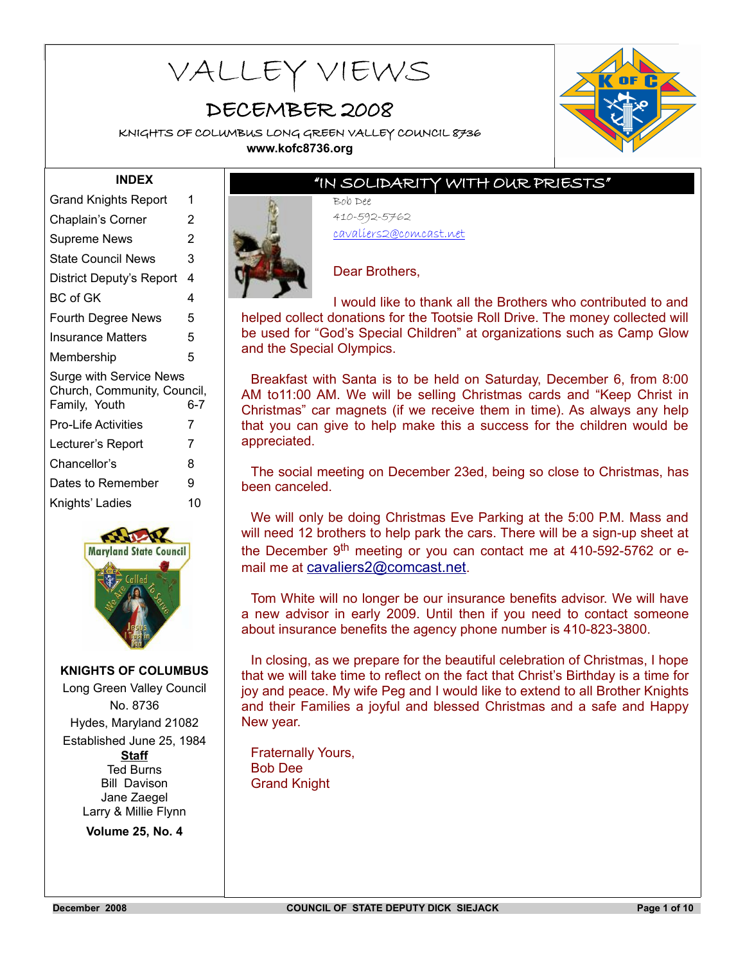# **KNIGHTS OF COLUMBUS LONG GREEN VALLEY COUNCIL 8736** VALLEY VIEWS

# DECEMBER 2008

KNIGHTS OF COLUMBUS LONG GREEN VALLEY COUNCIL 8736 **www.kofc8736.org**



#### **INDEX**

| <b>Grand Knights Report</b>                                                    | 1   |
|--------------------------------------------------------------------------------|-----|
| Chaplain's Corner                                                              | 2   |
| Supreme News                                                                   | 2   |
| State Council News                                                             | 3   |
| District Deputy's Report                                                       | 4   |
| BC of GK                                                                       | 4   |
| <b>Fourth Degree News</b>                                                      | 5   |
| Insurance Matters                                                              | 5   |
| Membership                                                                     | 5   |
| <b>Surge with Service News</b><br>Church, Community, Council,<br>Family, Youth | 6-7 |
| Pro-Life Activities                                                            | 7   |
| Lecturer's Report                                                              | 7   |
| Chancellor's                                                                   | 8   |
|                                                                                |     |
| Dates to Remember                                                              | 9   |
| Knights' Ladies                                                                | 10  |



#### **KNIGHTS OF COLUMBUS**

Long Green Valley Council No. 8736 Hydes, Maryland 21082 Established June 25, 1984 **Staff** Ted Burns Bill Davison Jane Zaegel Larry & Millie Flynn

**Volume 25, No. 4**

# "IN SOLIDARITY WITH OUR PRIESTS"

Bob Dee 410-592-5762 cavaliers2@comcast.net



#### Dear Brothers,

I would like to thank all the Brothers who contributed to and helped collect donations for the Tootsie Roll Drive. The money collected will be used for "God's Special Children" at organizations such as Camp Glow and the Special Olympics.

Breakfast with Santa is to be held on Saturday, December 6, from 8:00 AM to11:00 AM. We will be selling Christmas cards and "Keep Christ in Christmas" car magnets (if we receive them in time). As always any help that you can give to help make this a success for the children would be appreciated.

The social meeting on December 23ed, being so close to Christmas, has been canceled.

We will only be doing Christmas Eve Parking at the 5:00 P.M. Mass and will need 12 brothers to help park the cars. There will be a sign-up sheet at the December  $9<sup>th</sup>$  meeting or you can contact me at 410-592-5762 or email me at [cavaliers2@comcast.net](mailto:cavaliers2@comcast.net).

Tom White will no longer be our insurance benefits advisor. We will have a new advisor in early 2009. Until then if you need to contact someone about insurance benefits the agency phone number is 410-823-3800.

In closing, as we prepare for the beautiful celebration of Christmas, I hope that we will take time to reflect on the fact that Christ's Birthday is a time for joy and peace. My wife Peg and I would like to extend to all Brother Knights and their Families a joyful and blessed Christmas and a safe and Happy New year.

Fraternally Yours, Bob Dee Grand Knight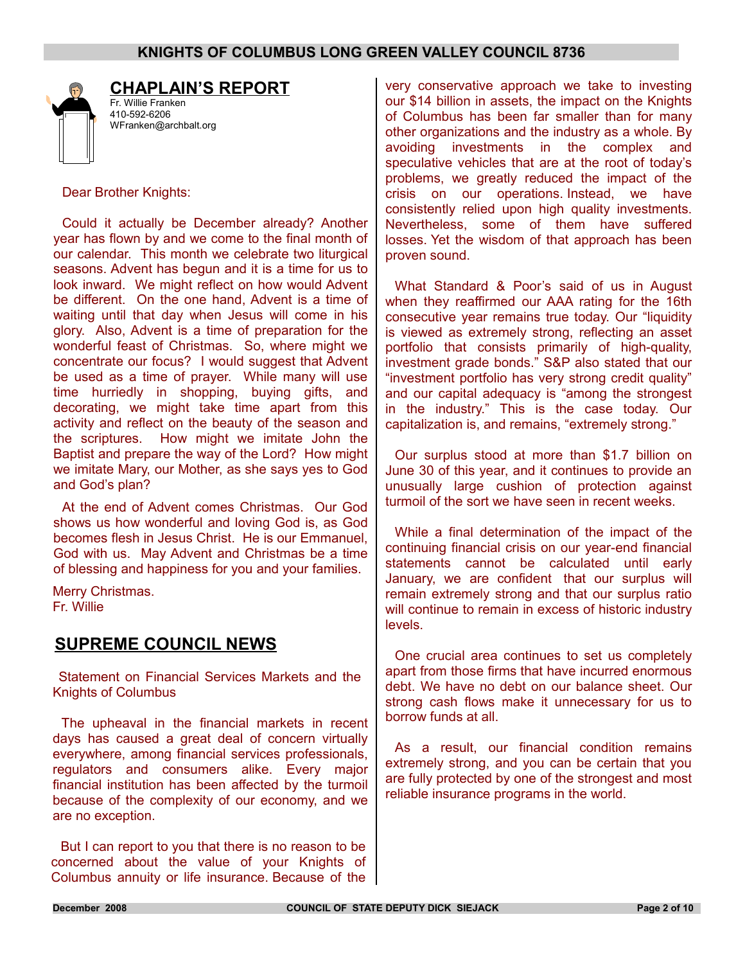

# **CHAPLAIN'S REPORT**

Fr. Willie Franken 410-592-6206 WFranken@archbalt.org

Dear Brother Knights:

Could it actually be December already? Another year has flown by and we come to the final month of our calendar. This month we celebrate two liturgical seasons. Advent has begun and it is a time for us to look inward. We might reflect on how would Advent be different. On the one hand, Advent is a time of waiting until that day when Jesus will come in his glory. Also, Advent is a time of preparation for the wonderful feast of Christmas. So, where might we concentrate our focus? I would suggest that Advent be used as a time of prayer. While many will use time hurriedly in shopping, buying gifts, and decorating, we might take time apart from this activity and reflect on the beauty of the season and the scriptures. How might we imitate John the Baptist and prepare the way of the Lord? How might we imitate Mary, our Mother, as she says yes to God and God's plan?

At the end of Advent comes Christmas. Our God shows us how wonderful and loving God is, as God becomes flesh in Jesus Christ. He is our Emmanuel, God with us. May Advent and Christmas be a time of blessing and happiness for you and your families.

Merry Christmas. Fr. Willie

# **SUPREME COUNCIL NEWS**

Statement on Financial Services Markets and the Knights of Columbus

The upheaval in the financial markets in recent days has caused a great deal of concern virtually everywhere, among financial services professionals, regulators and consumers alike. Every major financial institution has been affected by the turmoil because of the complexity of our economy, and we are no exception.

But I can report to you that there is no reason to be concerned about the value of your Knights of Columbus annuity or life insurance. Because of the very conservative approach we take to investing our \$14 billion in assets, the impact on the Knights of Columbus has been far smaller than for many other organizations and the industry as a whole. By avoiding investments in the complex and speculative vehicles that are at the root of today's problems, we greatly reduced the impact of the crisis on our operations. Instead, we have consistently relied upon high quality investments. Nevertheless, some of them have suffered losses. Yet the wisdom of that approach has been proven sound.

What Standard & Poor's said of us in August when they reaffirmed our AAA rating for the 16th consecutive year remains true today. Our "liquidity is viewed as extremely strong, reflecting an asset portfolio that consists primarily of high-quality, investment grade bonds." S&P also stated that our "investment portfolio has very strong credit quality" and our capital adequacy is "among the strongest in the industry." This is the case today. Our capitalization is, and remains, "extremely strong."

Our surplus stood at more than \$1.7 billion on June 30 of this year, and it continues to provide an unusually large cushion of protection against turmoil of the sort we have seen in recent weeks.

While a final determination of the impact of the continuing financial crisis on our year-end financial statements cannot be calculated until early January, we are confident that our surplus will remain extremely strong and that our surplus ratio will continue to remain in excess of historic industry levels.

One crucial area continues to set us completely apart from those firms that have incurred enormous debt. We have no debt on our balance sheet. Our strong cash flows make it unnecessary for us to borrow funds at all.

As a result, our financial condition remains extremely strong, and you can be certain that you are fully protected by one of the strongest and most reliable insurance programs in the world.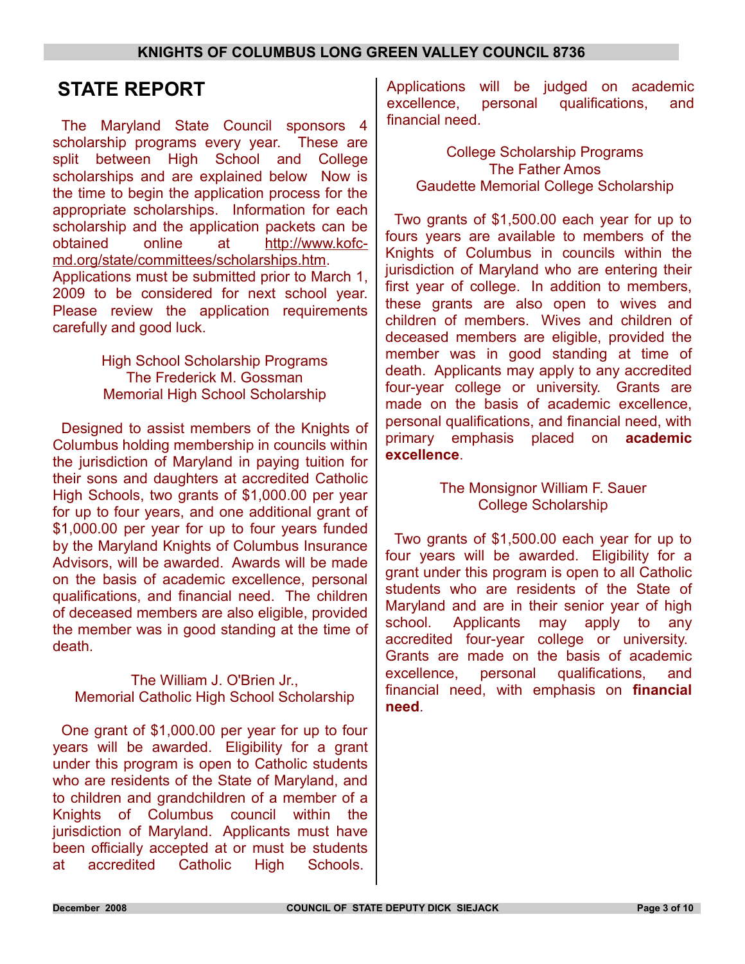# **STATE REPORT**

The Maryland State Council sponsors 4 scholarship programs every year. These are split between High School and College scholarships and are explained below Now is the time to begin the application process for the appropriate scholarships. Information for each scholarship and the application packets can be obtained online at [http://www.kofc](http://www.kofc-md.org/state/committees/scholarships.htm)[md.org/state/committees/scholarships.htm.](http://www.kofc-md.org/state/committees/scholarships.htm) Applications must be submitted prior to March 1, 2009 to be considered for next school year. Please review the application requirements carefully and good luck.

> High School Scholarship Programs The Frederick M. Gossman Memorial High School Scholarship

Designed to assist members of the Knights of Columbus holding membership in councils within the jurisdiction of Maryland in paying tuition for their sons and daughters at accredited Catholic High Schools, two grants of \$1,000.00 per year for up to four years, and one additional grant of \$1,000.00 per year for up to four years funded by the Maryland Knights of Columbus Insurance Advisors, will be awarded. Awards will be made on the basis of academic excellence, personal qualifications, and financial need. The children of deceased members are also eligible, provided the member was in good standing at the time of death.

The William J. O'Brien Jr., Memorial Catholic High School Scholarship

One grant of \$1,000.00 per year for up to four years will be awarded. Eligibility for a grant under this program is open to Catholic students who are residents of the State of Maryland, and to children and grandchildren of a member of a Knights of Columbus council within the jurisdiction of Maryland. Applicants must have been officially accepted at or must be students at accredited Catholic High Schools.

Applications will be judged on academic excellence, personal qualifications, and financial need.

College Scholarship Programs The Father Amos Gaudette Memorial College Scholarship

Two grants of \$1,500.00 each year for up to fours years are available to members of the Knights of Columbus in councils within the jurisdiction of Maryland who are entering their first year of college. In addition to members, these grants are also open to wives and children of members. Wives and children of deceased members are eligible, provided the member was in good standing at time of death. Applicants may apply to any accredited four-year college or university. Grants are made on the basis of academic excellence, personal qualifications, and financial need, with primary emphasis placed on **academic excellence**.

### The Monsignor William F. Sauer College Scholarship

Two grants of \$1,500.00 each year for up to four years will be awarded. Eligibility for a grant under this program is open to all Catholic students who are residents of the State of Maryland and are in their senior year of high school. Applicants may apply to any accredited four-year college or university. Grants are made on the basis of academic excellence, personal qualifications, and financial need, with emphasis on **financial need**.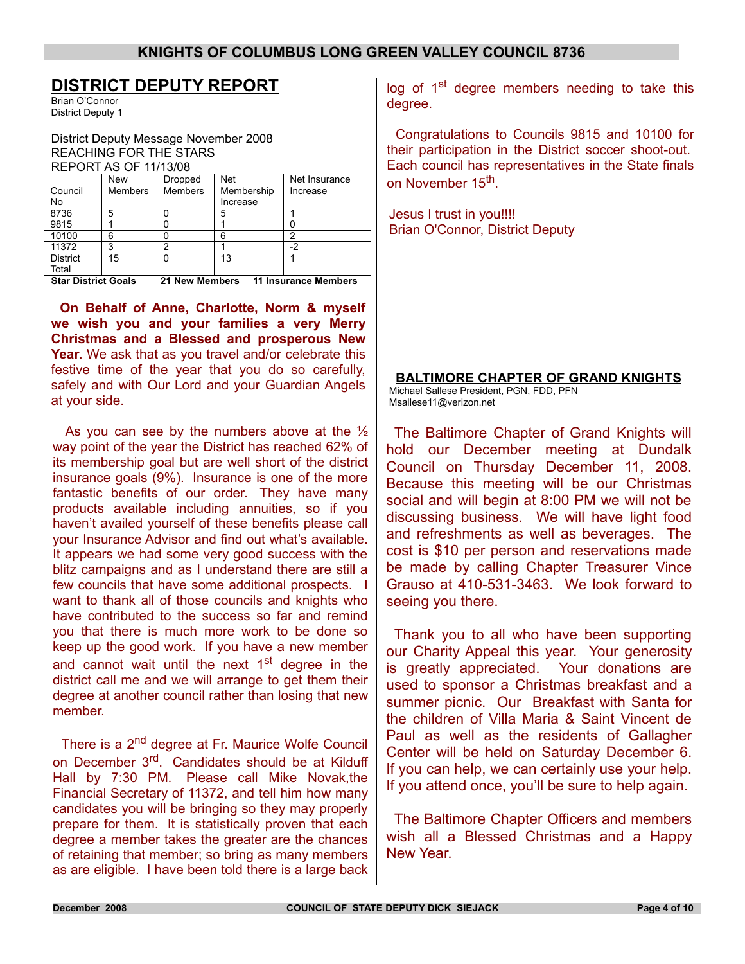## **DISTRICT DEPUTY REPORT**

Brian O'Connor District Deputy 1

District Deputy Message November 2008 REACHING FOR THE STARS REPORT AS OF 11/13/08

|                            | <b>New</b>     | Dropped        | <b>Net</b> | Net Insurance               |
|----------------------------|----------------|----------------|------------|-----------------------------|
| Council                    | <b>Members</b> | <b>Members</b> | Membership | Increase                    |
| No                         |                |                | Increase   |                             |
| 8736                       | 5              |                | 5          |                             |
| 9815                       |                |                |            |                             |
| 10100                      | 6              |                | 6          | າ                           |
| 11372                      | 3              | ົ              |            | -2                          |
| <b>District</b>            | 15             | n              | 13         |                             |
| Total                      |                |                |            |                             |
| <b>Star District Goals</b> |                | 21 New Members |            | <b>11 Insurance Members</b> |

**On Behalf of Anne, Charlotte, Norm & myself we wish you and your families a very Merry Christmas and a Blessed and prosperous New Year.** We ask that as you travel and/or celebrate this festive time of the year that you do so carefully, safely and with Our Lord and your Guardian Angels at your side.

As you can see by the numbers above at the  $\frac{1}{2}$ way point of the year the District has reached 62% of its membership goal but are well short of the district insurance goals (9%). Insurance is one of the more fantastic benefits of our order. They have many products available including annuities, so if you haven't availed yourself of these benefits please call your Insurance Advisor and find out what's available. It appears we had some very good success with the blitz campaigns and as I understand there are still a few councils that have some additional prospects. I want to thank all of those councils and knights who have contributed to the success so far and remind you that there is much more work to be done so keep up the good work. If you have a new member and cannot wait until the next 1<sup>st</sup> degree in the district call me and we will arrange to get them their degree at another council rather than losing that new member.

There is a 2<sup>nd</sup> degree at Fr. Maurice Wolfe Council on December 3<sup>rd</sup>. Candidates should be at Kilduff Hall by 7:30 PM. Please call Mike Novak,the Financial Secretary of 11372, and tell him how many candidates you will be bringing so they may properly prepare for them. It is statistically proven that each degree a member takes the greater are the chances of retaining that member; so bring as many members as are eligible. I have been told there is a large back

log of 1<sup>st</sup> degree members needing to take this degree.

Congratulations to Councils 9815 and 10100 for their participation in the District soccer shoot-out. Each council has representatives in the State finals on November 15<sup>th</sup>.

Jesus I trust in you!!!! Brian O'Connor, District Deputy

#### **BALTIMORE CHAPTER OF GRAND KNIGHTS**

Michael Sallese President, PGN, FDD, PFN Msallese11@verizon.net

The Baltimore Chapter of Grand Knights will hold our December meeting at Dundalk Council on Thursday December 11, 2008. Because this meeting will be our Christmas social and will begin at 8:00 PM we will not be discussing business. We will have light food and refreshments as well as beverages. The cost is \$10 per person and reservations made be made by calling Chapter Treasurer Vince Grauso at 410-531-3463. We look forward to seeing you there.

Thank you to all who have been supporting our Charity Appeal this year. Your generosity is greatly appreciated. Your donations are used to sponsor a Christmas breakfast and a summer picnic. Our Breakfast with Santa for the children of Villa Maria & Saint Vincent de Paul as well as the residents of Gallagher Center will be held on Saturday December 6. If you can help, we can certainly use your help. If you attend once, you'll be sure to help again.

The Baltimore Chapter Officers and members wish all a Blessed Christmas and a Happy New Year.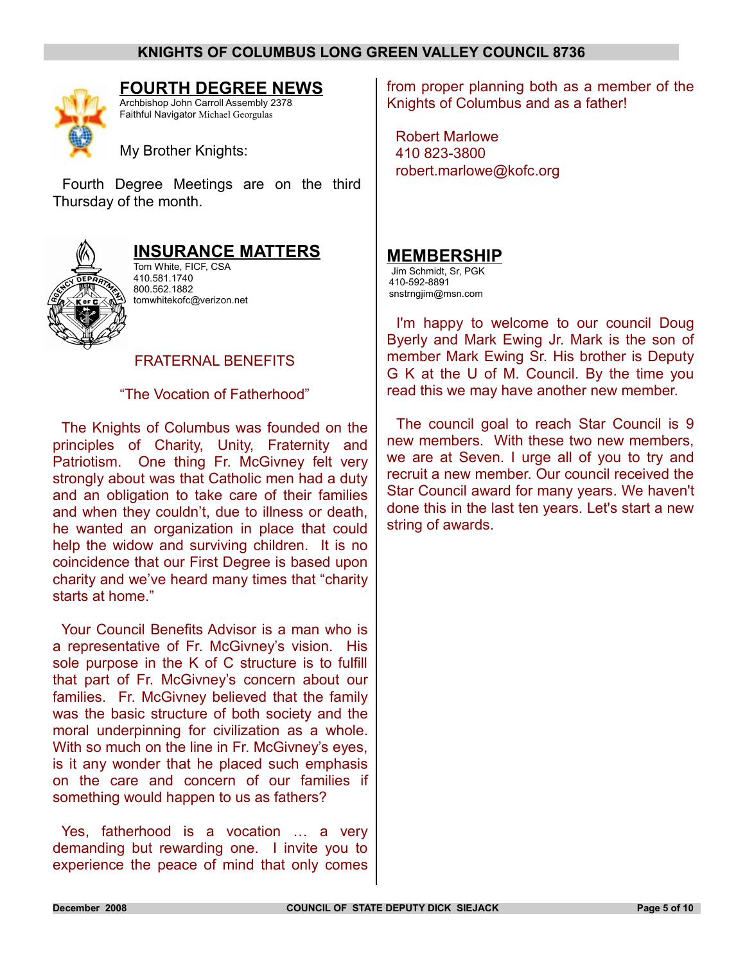

### **FOURTH DEGREE NEWS**

Archbishop John Carroll Assembly 2378 Faithful Navigator Michael Georgulas

My Brother Knights:

Fourth Degree Meetings are on the third Thursday of the month.



## **INSURANCE MATTERS**

Tom White, FICF, CSA 410.581.1740 800.562.1882 tomwhitekofc@verizon.net

#### FRATERNAL BENEFITS

"The Vocation of Fatherhood"

The Knights of Columbus was founded on the principles of Charity, Unity, Fraternity and Patriotism. One thing Fr. McGivney felt very strongly about was that Catholic men had a duty and an obligation to take care of their families and when they couldn't, due to illness or death, he wanted an organization in place that could help the widow and surviving children. It is no coincidence that our First Degree is based upon charity and we've heard many times that "charity starts at home."

Your Council Benefits Advisor is a man who is a representative of Fr. McGivney's vision. His sole purpose in the K of C structure is to fulfill that part of Fr. McGivney's concern about our families. Fr. McGivney believed that the family was the basic structure of both society and the moral underpinning for civilization as a whole. With so much on the line in Fr. McGivney's eyes, is it any wonder that he placed such emphasis on the care and concern of our families if something would happen to us as fathers?

Yes, fatherhood is a vocation … a very demanding but rewarding one. I invite you to experience the peace of mind that only comes

from proper planning both as a member of the Knights of Columbus and as a father!

Robert Marlowe 410 823-3800 robert.marlowe@kofc.org

#### **MEMBERSHIP**

Jim Schmidt, Sr, PGK 410-592-8891 snstrngjim@msn.com

I'm happy to welcome to our council Doug Byerly and Mark Ewing Jr. Mark is the son of member Mark Ewing Sr. His brother is Deputy G K at the U of M. Council. By the time you read this we may have another new member.

The council goal to reach Star Council is 9 new members. With these two new members, we are at Seven. I urge all of you to try and recruit a new member. Our council received the Star Council award for many years. We haven't done this in the last ten years. Let's start a new string of awards.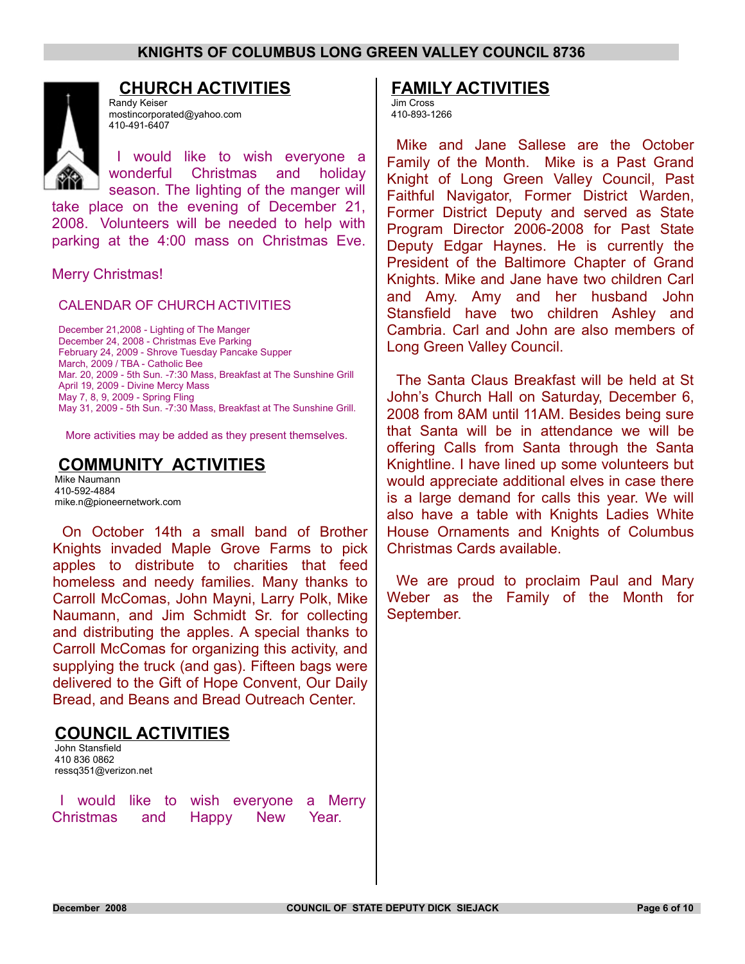

## **CHURCH ACTIVITIES**

Randy Keiser mostincorporated@yahoo.com 410-491-6407

I would like to wish everyone a wonderful Christmas and holiday season. The lighting of the manger will

take place on the evening of December 21, 2008. Volunteers will be needed to help with parking at the 4:00 mass on Christmas Eve.

Merry Christmas!

CALENDAR OF CHURCH ACTIVITIES

December 21,2008 - Lighting of The Manger December 24, 2008 - Christmas Eve Parking February 24, 2009 - Shrove Tuesday Pancake Supper March, 2009 / TBA - Catholic Bee Mar. 20, 2009 - 5th Sun. -7:30 Mass, Breakfast at The Sunshine Grill April 19, 2009 - Divine Mercy Mass May 7, 8, 9, 2009 - Spring Fling May 31, 2009 - 5th Sun. -7:30 Mass, Breakfast at The Sunshine Grill.

More activities may be added as they present themselves.

## **COMMUNITY ACTIVITIES**

Mike Naumann 410-592-4884 mike.n@pioneernetwork.com

On October 14th a small band of Brother Knights invaded Maple Grove Farms to pick apples to distribute to charities that feed homeless and needy families. Many thanks to Carroll McComas, John Mayni, Larry Polk, Mike Naumann, and Jim Schmidt Sr. for collecting and distributing the apples. A special thanks to Carroll McComas for organizing this activity, and supplying the truck (and gas). Fifteen bags were delivered to the Gift of Hope Convent, Our Daily Bread, and Beans and Bread Outreach Center.

# **COUNCIL ACTIVITIES**

John Stansfield 410 836 0862 ressq351@verizon.net

I would like to wish everyone a Merry Christmas and Happy New Year.

### **FAMILY ACTIVITIES**

Jim Cross 410-893-1266

Mike and Jane Sallese are the October Family of the Month. Mike is a Past Grand Knight of Long Green Valley Council, Past Faithful Navigator, Former District Warden, Former District Deputy and served as State Program Director 2006-2008 for Past State Deputy Edgar Haynes. He is currently the President of the Baltimore Chapter of Grand Knights. Mike and Jane have two children Carl and Amy. Amy and her husband John Stansfield have two children Ashley and Cambria. Carl and John are also members of Long Green Valley Council.

The Santa Claus Breakfast will be held at St John's Church Hall on Saturday, December 6, 2008 from 8AM until 11AM. Besides being sure that Santa will be in attendance we will be offering Calls from Santa through the Santa Knightline. I have lined up some volunteers but would appreciate additional elves in case there is a large demand for calls this year. We will also have a table with Knights Ladies White House Ornaments and Knights of Columbus Christmas Cards available.

We are proud to proclaim Paul and Mary Weber as the Family of the Month for September.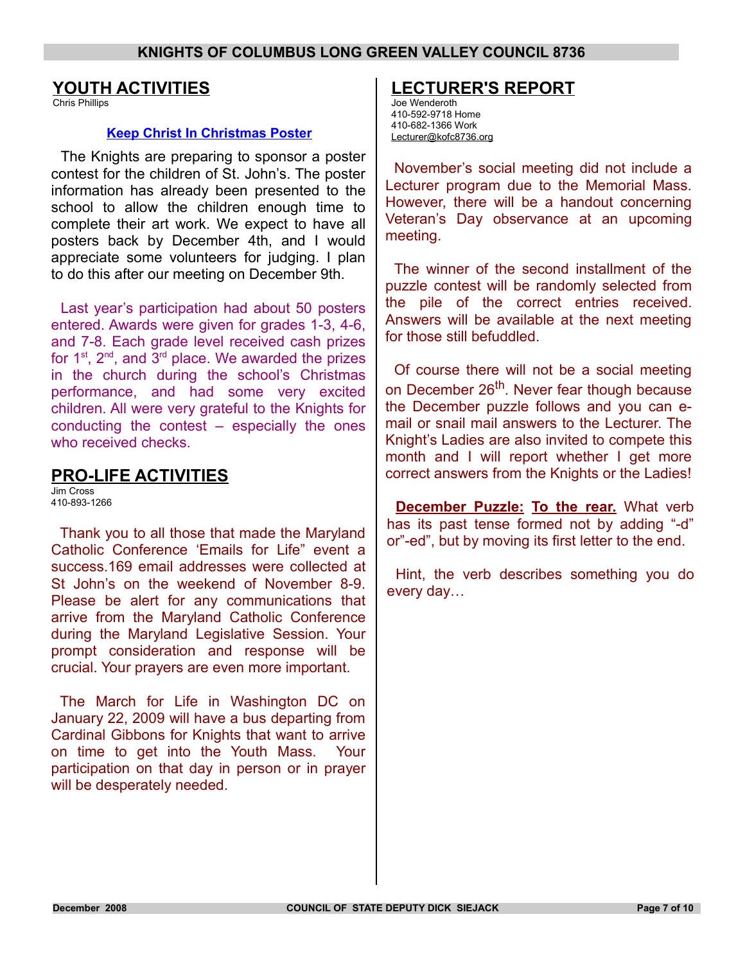### **YOUTH ACTIVITIES**

Chris Phillips

#### **Keep Christ In Christmas Poster**

The Knights are preparing to sponsor a poster contest for the children of St. John's. The poster information has already been presented to the school to allow the children enough time to complete their art work. We expect to have all posters back by December 4th, and I would appreciate some volunteers for judging. I plan to do this after our meeting on December 9th.

Last year's participation had about 50 posters entered. Awards were given for grades 1-3, 4-6, and 7-8. Each grade level received cash prizes for  $1^{st}$ ,  $2^{nd}$ , and  $3^{rd}$  place. We awarded the prizes in the church during the school's Christmas performance, and had some very excited children. All were very grateful to the Knights for conducting the contest – especially the ones who received checks.

## **PRO-LIFE ACTIVITIES**

Jim Cross 410-893-1266

Thank you to all those that made the Maryland Catholic Conference 'Emails for Life" event a success.169 email addresses were collected at St John's on the weekend of November 8-9. Please be alert for any communications that arrive from the Maryland Catholic Conference during the Maryland Legislative Session. Your prompt consideration and response will be crucial. Your prayers are even more important.

The March for Life in Washington DC on January 22, 2009 will have a bus departing from Cardinal Gibbons for Knights that want to arrive on time to get into the Youth Mass. Your participation on that day in person or in prayer will be desperately needed.

# **LECTURER'S REPORT**

Joe Wenderoth 410-592-9718 Home 410-682-1366 Work Lecturer@kofc8736.org

November's social meeting did not include a Lecturer program due to the Memorial Mass. However, there will be a handout concerning Veteran's Day observance at an upcoming meeting.

The winner of the second installment of the puzzle contest will be randomly selected from the pile of the correct entries received. Answers will be available at the next meeting for those still befuddled.

Of course there will not be a social meeting on December 26<sup>th</sup>. Never fear though because the December puzzle follows and you can email or snail mail answers to the Lecturer. The Knight's Ladies are also invited to compete this month and I will report whether I get more correct answers from the Knights or the Ladies!

**December Puzzle: To the rear.** What verb has its past tense formed not by adding "-d" or"-ed", but by moving its first letter to the end.

Hint, the verb describes something you do every day…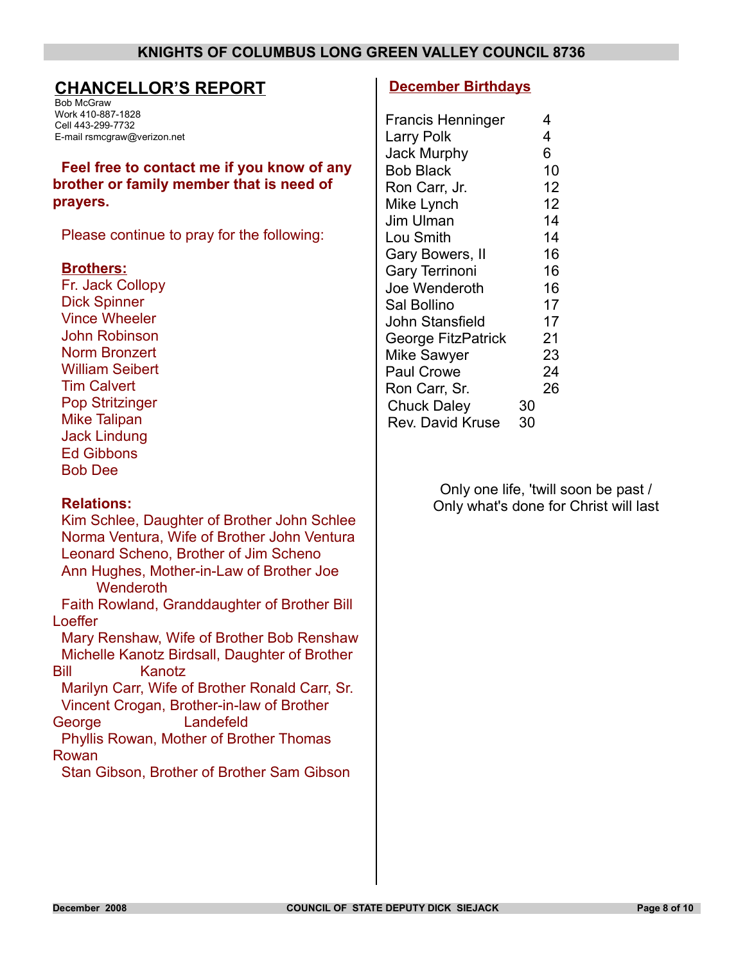### **CHANCELLOR'S REPORT**

Bob McGraw Work 410-887-1828 Cell 443-299-7732 E-mail rsmcgraw@verizon.net

**Feel free to contact me if you know of any brother or family member that is need of prayers.**

Please continue to pray for the following:

#### **Brothers:**

Fr. Jack Collopy Dick Spinner Vince Wheeler John Robinson Norm Bronzert William Seibert Tim Calvert Pop Stritzinger Mike Talipan Jack Lindung Ed Gibbons Bob Dee

#### **Relations:**

Kim Schlee, Daughter of Brother John Schlee Norma Ventura, Wife of Brother John Ventura Leonard Scheno, Brother of Jim Scheno Ann Hughes, Mother-in-Law of Brother Joe **Wenderoth** Faith Rowland, Granddaughter of Brother Bill Loeffer Mary Renshaw, Wife of Brother Bob Renshaw Michelle Kanotz Birdsall, Daughter of Brother Bill Kanotz Marilyn Carr, Wife of Brother Ronald Carr, Sr. Vincent Crogan, Brother-in-law of Brother George Landefeld Phyllis Rowan, Mother of Brother Thomas Rowan

Stan Gibson, Brother of Brother Sam Gibson

#### **December Birthdays**

|    | 4  |
|----|----|
|    | 4  |
|    | 6  |
|    | 10 |
|    | 12 |
|    | 12 |
|    | 14 |
|    | 14 |
|    | 16 |
|    | 16 |
|    | 16 |
|    | 17 |
|    | 17 |
|    | 21 |
|    | 23 |
|    | 24 |
|    | 26 |
| 30 |    |
| 30 |    |
|    |    |

Only one life, 'twill soon be past / Only what's done for Christ will last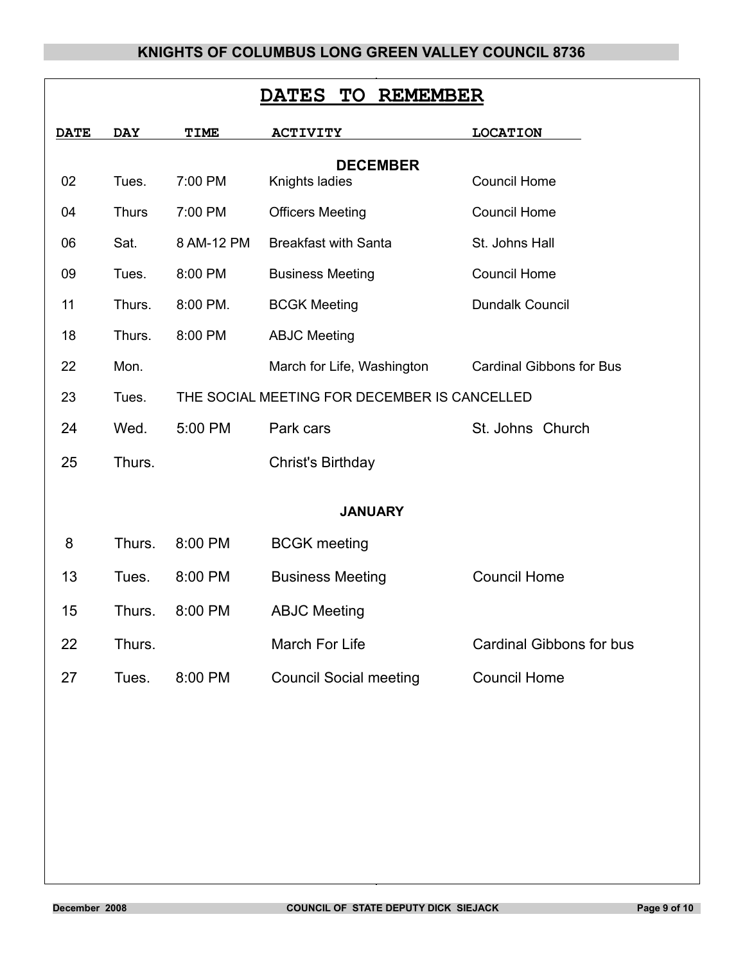| <b>DATES TO</b><br><b>REMEMBER</b> |              |                                              |                                   |                                 |  |  |  |
|------------------------------------|--------------|----------------------------------------------|-----------------------------------|---------------------------------|--|--|--|
| <b>DATE</b>                        | <b>DAY</b>   | <b>TIME</b>                                  | <b>ACTIVITY</b>                   | <b>LOCATION</b>                 |  |  |  |
| 02                                 | Tues.        | 7:00 PM                                      | <b>DECEMBER</b><br>Knights ladies | <b>Council Home</b>             |  |  |  |
| 04                                 | <b>Thurs</b> | 7:00 PM                                      | <b>Officers Meeting</b>           | <b>Council Home</b>             |  |  |  |
| 06                                 | Sat.         | 8 AM-12 PM                                   | <b>Breakfast with Santa</b>       | St. Johns Hall                  |  |  |  |
| 09                                 | Tues.        | 8:00 PM                                      | <b>Business Meeting</b>           | <b>Council Home</b>             |  |  |  |
| 11                                 | Thurs.       | 8:00 PM.                                     | <b>BCGK Meeting</b>               | Dundalk Council                 |  |  |  |
| 18                                 | Thurs.       | 8:00 PM                                      | <b>ABJC Meeting</b>               |                                 |  |  |  |
| 22                                 | Mon.         |                                              | March for Life, Washington        | <b>Cardinal Gibbons for Bus</b> |  |  |  |
| 23                                 | Tues.        | THE SOCIAL MEETING FOR DECEMBER IS CANCELLED |                                   |                                 |  |  |  |
| 24                                 | Wed.         | 5:00 PM                                      | Park cars<br>St. Johns Church     |                                 |  |  |  |
| 25                                 | Thurs.       |                                              | Christ's Birthday                 |                                 |  |  |  |
| <b>JANUARY</b>                     |              |                                              |                                   |                                 |  |  |  |
| 8                                  | Thurs.       | 8:00 PM                                      | <b>BCGK</b> meeting               |                                 |  |  |  |
| 13                                 | Tues.        | 8:00 PM                                      | <b>Business Meeting</b>           | <b>Council Home</b>             |  |  |  |
| 15                                 | Thurs.       | 8:00 PM                                      | <b>ABJC Meeting</b>               |                                 |  |  |  |
| 22                                 | Thurs.       |                                              | March For Life                    | <b>Cardinal Gibbons for bus</b> |  |  |  |
| 27                                 | Tues.        | 8:00 PM                                      | <b>Council Social meeting</b>     | <b>Council Home</b>             |  |  |  |